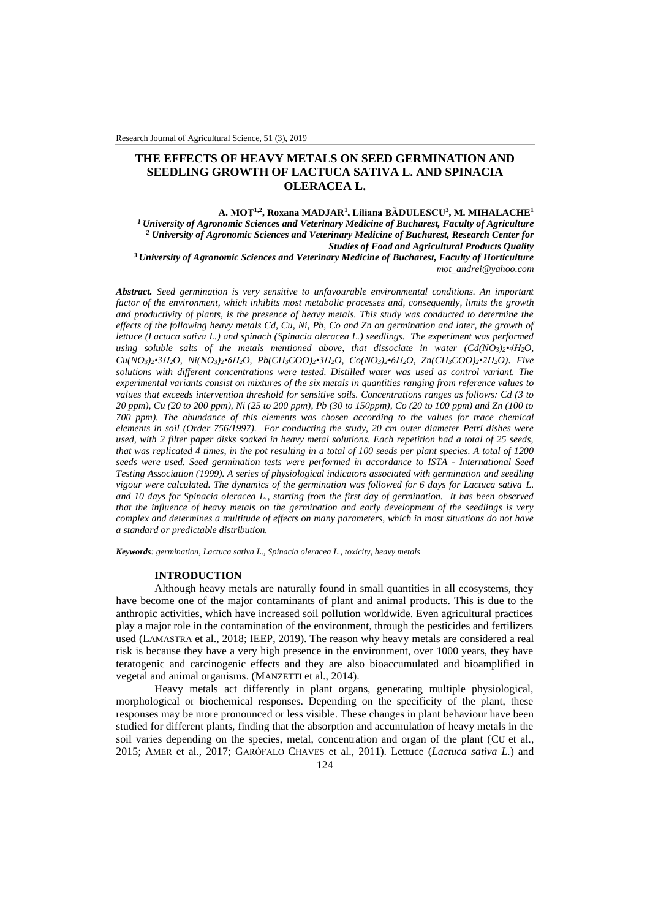# **THE EFFECTS OF HEAVY METALS ON SEED GERMINATION AND SEEDLING GROWTH OF LACTUCA SATIVA L. AND SPINACIA OLERACEA L.**

**A. MOŢ1,2, Roxana MADJAR<sup>1</sup> , Liliana BĂDULESCU<sup>3</sup> , M. MIHALACHE<sup>1</sup>** *<sup>1</sup>University of Agronomic Sciences and Veterinary Medicine of Bucharest, Faculty of Agriculture <sup>2</sup> University of Agronomic Sciences and Veterinary Medicine of Bucharest, Research Center for Studies of Food and Agricultural Products Quality <sup>3</sup>University of Agronomic Sciences and Veterinary Medicine of Bucharest, Faculty of Horticulture mot\_andrei@yahoo.com*

*Abstract. Seed germination is very sensitive to unfavourable environmental conditions. An important factor of the environment, which inhibits most metabolic processes and, consequently, limits the growth and productivity of plants, is the presence of heavy metals. This study was conducted to determine the effects of the following heavy metals Cd, Cu, Ni, Pb, Co and Zn on germination and later, the growth of lettuce (Lactuca sativa L.) and spinach (Spinacia oleracea L.) seedlings. The experiment was performed using soluble salts of the metals mentioned above, that dissociate in water (Cd(NO3)2•4H2O,*   $Cu(NO_3)_2 \cdot 3H_2O$ ,  $Ni(NO_3)_2 \cdot 6H_2O$ ,  $Pb(CH_3COO)_2 \cdot 3H_2O$ ,  $Co(NO_3)_2 \cdot 6H_2O$ ,  $Zn(CH_3COO)_2 \cdot 2H_2O$ ). Five *solutions with different concentrations were tested. Distilled water was used as control variant. The experimental variants consist on mixtures of the six metals in quantities ranging from reference values to values that exceeds intervention threshold for sensitive soils. Concentrations ranges as follows: Cd (3 to 20 ppm), Cu (20 to 200 ppm), Ni (25 to 200 ppm), Pb (30 to 150ppm), Co (20 to 100 ppm) and Zn (100 to 700 ppm). The abundance of this elements was chosen according to the values for trace chemical elements in soil (Order 756/1997). For conducting the study, 20 cm outer diameter Petri dishes were used, with 2 filter paper disks soaked in heavy metal solutions. Each repetition had a total of 25 seeds, that was replicated 4 times, in the pot resulting in a total of 100 seeds per plant species. A total of 1200 seeds were used. Seed germination tests were performed in accordance to ISTA - International Seed Testing Association (1999). A series of physiological indicators associated with germination and seedling vigour were calculated. The dynamics of the germination was followed for 6 days for Lactuca sativa L. and 10 days for Spinacia oleracea L., starting from the first day of germination. It has been observed that the influence of heavy metals on the germination and early development of the seedlings is very complex and determines a multitude of effects on many parameters, which in most situations do not have a standard or predictable distribution.*

*Keywords: germination, Lactuca sativa L., Spinacia oleracea L., toxicity, heavy metals*

#### **INTRODUCTION**

Although heavy metals are naturally found in small quantities in all ecosystems, they have become one of the major contaminants of plant and animal products. This is due to the anthropic activities, which have increased soil pollution worldwide. Even agricultural practices play a major role in the contamination of the environment, through the pesticides and fertilizers used (LAMASTRA et al., 2018; IEEP, 2019). The reason why heavy metals are considered a real risk is because they have a very high presence in the environment, over 1000 years, they have teratogenic and carcinogenic effects and they are also bioaccumulated and bioamplified in vegetal and animal organisms. (MANZETTI et al., 2014).

Heavy metals act differently in plant organs, generating multiple physiological, morphological or biochemical responses. Depending on the specificity of the plant, these responses may be more pronounced or less visible. These changes in plant behaviour have been studied for different plants, finding that the absorption and accumulation of heavy metals in the soil varies depending on the species, metal, concentration and organ of the plant (CU et al., 2015; AMER et al., 2017; GARÓFALO CHAVES et al., 2011). Lettuce (*Lactuca sativa L.*) and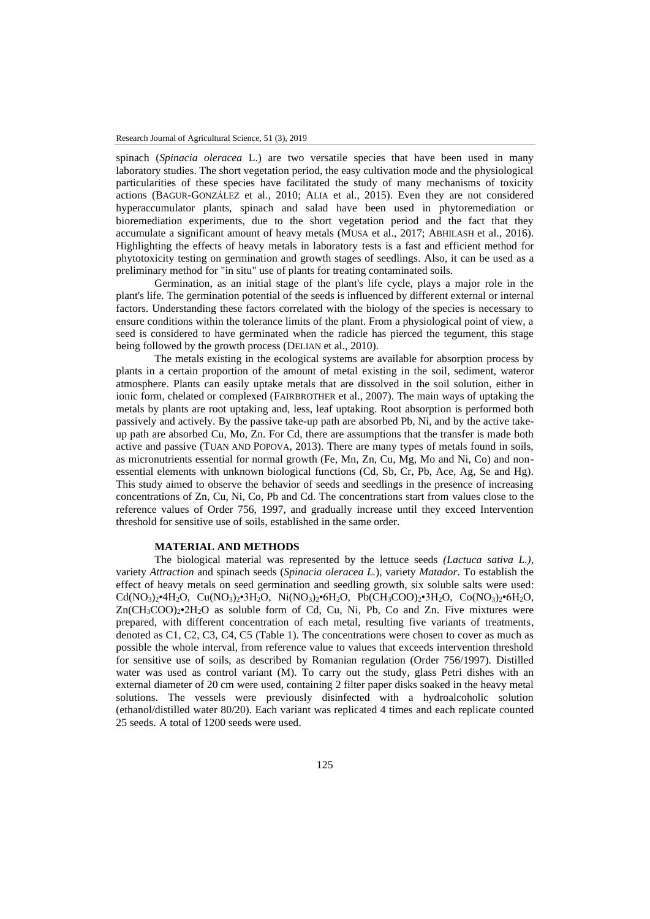spinach (*Spinacia oleracea* L.) are two versatile species that have been used in many laboratory studies. The short vegetation period, the easy cultivation mode and the physiological particularities of these species have facilitated the study of many mechanisms of toxicity actions (BAGUR-GONZÁLEZ et al., 2010; ALIA et al., 2015). Even they are not considered hyperaccumulator plants, spinach and salad have been used in phytoremediation or bioremediation experiments, due to the short vegetation period and the fact that they accumulate a significant amount of heavy metals (MUSA et al., 2017; ABHILASH et al., 2016). Highlighting the effects of heavy metals in laboratory tests is a fast and efficient method for phytotoxicity testing on germination and growth stages of seedlings. Also, it can be used as a preliminary method for "in situ" use of plants for treating contaminated soils.

Germination, as an initial stage of the plant's life cycle, plays a major role in the plant's life. The germination potential of the seeds is influenced by different external or internal factors. Understanding these factors correlated with the biology of the species is necessary to ensure conditions within the tolerance limits of the plant. From a physiological point of view, a seed is considered to have germinated when the radicle has pierced the tegument, this stage being followed by the growth process (DELIAN et al., 2010).

The metals existing in the ecological systems are available for absorption process by plants in a certain proportion of the amount of metal existing in the soil, sediment, wateror atmosphere. Plants can easily uptake metals that are dissolved in the soil solution, either in ionic form, chelated or complexed (FAIRBROTHER et al., 2007). The main ways of uptaking the metals by plants are root uptaking and, less, leaf uptaking. Root absorption is performed both passively and actively. By the passive take-up path are absorbed Pb, Ni, and by the active takeup path are absorbed Cu, Mo, Zn. For Cd, there are assumptions that the transfer is made both active and passive (TUAN AND POPOVA, 2013). There are many types of metals found in soils, as micronutrients essential for normal growth (Fe, Mn, Zn, Cu, Mg, Mo and Ni, Co) and nonessential elements with unknown biological functions (Cd, Sb, Cr, Pb, Ace, Ag, Se and Hg). This study aimed to observe the behavior of seeds and seedlings in the presence of increasing concentrations of Zn, Cu, Ni, Co, Pb and Cd. The concentrations start from values close to the reference values of Order 756, 1997, and gradually increase until they exceed Intervention threshold for sensitive use of soils, established in the same order.

#### **MATERIAL AND METHODS**

The biological material was represented by the lettuce seeds *(Lactuca sativa L.),*  variety *Attraction* and spinach seeds (*Spinacia oleracea L.*), variety *Matador*. To establish the effect of heavy metals on seed germination and seedling growth, six soluble salts were used:  $Cd(NO<sub>3</sub>)<sub>2</sub>•4H<sub>2</sub>O, Cu(NO<sub>3</sub>)<sub>2</sub>•3H<sub>2</sub>O, Ni(NO<sub>3</sub>)<sub>2</sub>•6H<sub>2</sub>O, Pb(CH<sub>3</sub>COO)<sub>2</sub>•3H<sub>2</sub>O, Co(NO<sub>3</sub>)<sub>2</sub>•6H<sub>2</sub>O,$  $Zn(CH_3COO)_2 \cdot 2H_2O$  as soluble form of Cd, Cu, Ni, Pb, Co and Zn. Five mixtures were prepared, with different concentration of each metal, resulting five variants of treatments, denoted as C1, C2, C3, C4, C5 (Table 1). The concentrations were chosen to cover as much as possible the whole interval, from reference value to values that exceeds intervention threshold for sensitive use of soils, as described by Romanian regulation (Order 756/1997). Distilled water was used as control variant (M). To carry out the study, glass Petri dishes with an external diameter of 20 cm were used, containing 2 filter paper disks soaked in the heavy metal solutions. The vessels were previously disinfected with a hydroalcoholic solution (ethanol/distilled water 80/20). Each variant was replicated 4 times and each replicate counted 25 seeds. A total of 1200 seeds were used.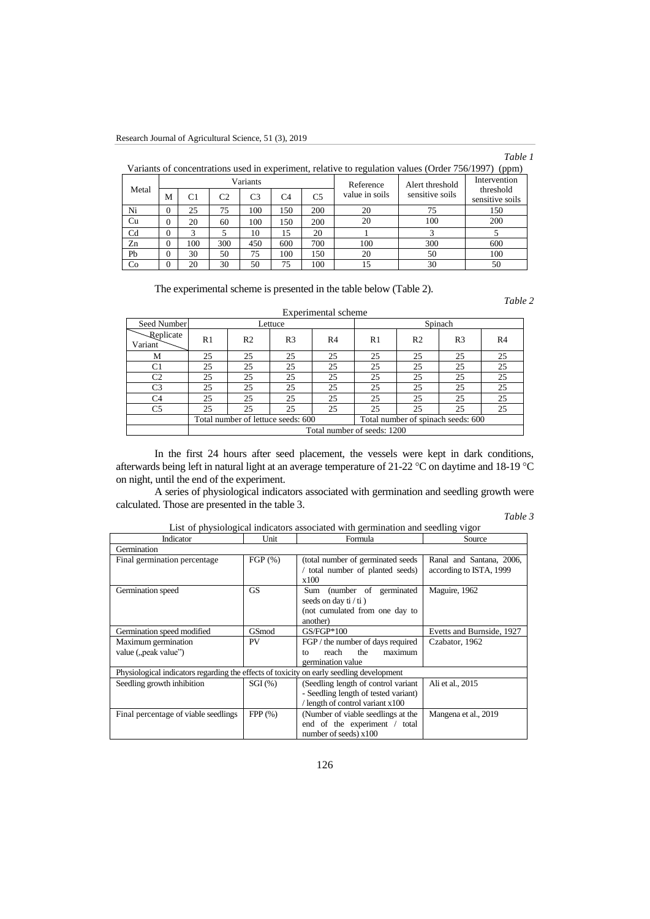# *Table 1*

| Variants of concentrations used in experiment, relative to regulation values (Order 756/1997) (ppm) |  |
|-----------------------------------------------------------------------------------------------------|--|
|-----------------------------------------------------------------------------------------------------|--|

|             |          |     |     | Variants |     |                | Reference      | Alert threshold | Intervention                 |
|-------------|----------|-----|-----|----------|-----|----------------|----------------|-----------------|------------------------------|
| Metal       | М        | C1  | C2  | C3       | C4  | C <sub>5</sub> | value in soils | sensitive soils | threshold<br>sensitive soils |
| Ni          | $\Omega$ | 25  | 75  | 100      | 150 | 200            | 20             | 75              | 150                          |
| Cu          | v        | 20  | 60  | 100      | 150 | 200            | 20             | 100             | 200                          |
| $_{\rm Cd}$ | $\theta$ |     |     | 10       | 15  | 20             |                |                 |                              |
| Zn          | $\Omega$ | 100 | 300 | 450      | 600 | 700            | 100            | 300             | 600                          |
| Pb          | $\Omega$ | 30  | 50  | 75       | 100 | 150            | 20             | 50              | 100                          |
| Co          | $\Omega$ | 20  | 30  | 50       | 75  | 100            |                | 30              | 50                           |

The experimental scheme is presented in the table below (Table 2).

*Table 2*

|                             |                             |                                    |                | Experimental scheme |    |                                    |                |                |  |
|-----------------------------|-----------------------------|------------------------------------|----------------|---------------------|----|------------------------------------|----------------|----------------|--|
| Seed Number                 |                             |                                    | Lettuce        |                     |    | Spinach                            |                |                |  |
| <b>Replicate</b><br>Variant | R1                          | R <sub>2</sub>                     | R <sub>3</sub> | R <sub>4</sub>      | R1 | R <sub>2</sub>                     | R <sub>3</sub> | R <sub>4</sub> |  |
| М                           | 25                          | 25                                 | 25             | 25                  | 25 | 25                                 | 25             | 25             |  |
| C <sub>1</sub>              | 25                          | 25                                 | 25             | 25                  | 25 | 25                                 | 25             | 25             |  |
| C <sub>2</sub>              | 25                          | 25                                 | 25             | 25                  | 25 | 25                                 | 25             | 25             |  |
| C <sub>3</sub>              | 25                          | 25                                 | 25             | 25                  | 25 | 25                                 | 25             | 25             |  |
| C <sub>4</sub>              | 25                          | 25                                 | 25             | 25                  | 25 | 25                                 | 25             | 25             |  |
| C <sub>5</sub>              | 25                          | 25                                 | 25             | 25                  | 25 | 25                                 | 25             | 25             |  |
|                             |                             | Total number of lettuce seeds: 600 |                |                     |    | Total number of spinach seeds: 600 |                |                |  |
|                             | Total number of seeds: 1200 |                                    |                |                     |    |                                    |                |                |  |

In the first 24 hours after seed placement, the vessels were kept in dark conditions, afterwards being left in natural light at an average temperature of 21-22 °C on daytime and 18-19 °C on night, until the end of the experiment.

A series of physiological indicators associated with germination and seedling growth were calculated. Those are presented in the table 3.

# *Table 3*

|                                                                                          |           | Enst of privision given mentators associated with germination and securing vigor |                           |  |  |
|------------------------------------------------------------------------------------------|-----------|----------------------------------------------------------------------------------|---------------------------|--|--|
| Unit<br>Indicator                                                                        |           | Formula                                                                          | Source                    |  |  |
| Germination                                                                              |           |                                                                                  |                           |  |  |
| Final germination percentage                                                             | FGP(%)    | (total number of germinated seeds                                                | Ranal and Santana, 2006,  |  |  |
|                                                                                          |           | total number of planted seeds)                                                   | according to ISTA, 1999   |  |  |
|                                                                                          |           | x100                                                                             |                           |  |  |
| Germination speed                                                                        | <b>GS</b> | (number of germinated<br>Sum                                                     | Maguire, 1962             |  |  |
|                                                                                          |           | seeds on day $t / t i$ )                                                         |                           |  |  |
|                                                                                          |           | (not cumulated from one day to                                                   |                           |  |  |
|                                                                                          |           | another)                                                                         |                           |  |  |
| Germination speed modified                                                               | GSmod     | $GS/FGP*100$                                                                     | Evetts and Burnside, 1927 |  |  |
| Maximum germination                                                                      | PV        | FGP / the number of days required                                                | Czabator, 1962            |  |  |
| value ("peak value")                                                                     |           | the<br>reach<br>maximum<br>to                                                    |                           |  |  |
|                                                                                          |           | germination value                                                                |                           |  |  |
| Physiological indicators regarding the effects of toxicity on early seedling development |           |                                                                                  |                           |  |  |
| Seedling growth inhibition                                                               | $SGI$ (%) | (Seedling length of control variant)                                             | Ali et al., 2015          |  |  |
|                                                                                          |           | - Seedling length of tested variant)                                             |                           |  |  |
|                                                                                          |           | length of control variant x100                                                   |                           |  |  |
| Final percentage of viable seedlings                                                     | FPP(%)    | (Number of viable seedlings at the                                               | Mangena et al., 2019      |  |  |
|                                                                                          |           | end of the experiment / total                                                    |                           |  |  |
|                                                                                          |           | number of seeds) $x100$                                                          |                           |  |  |

List of physiological indicators associated with germination and seedling vigor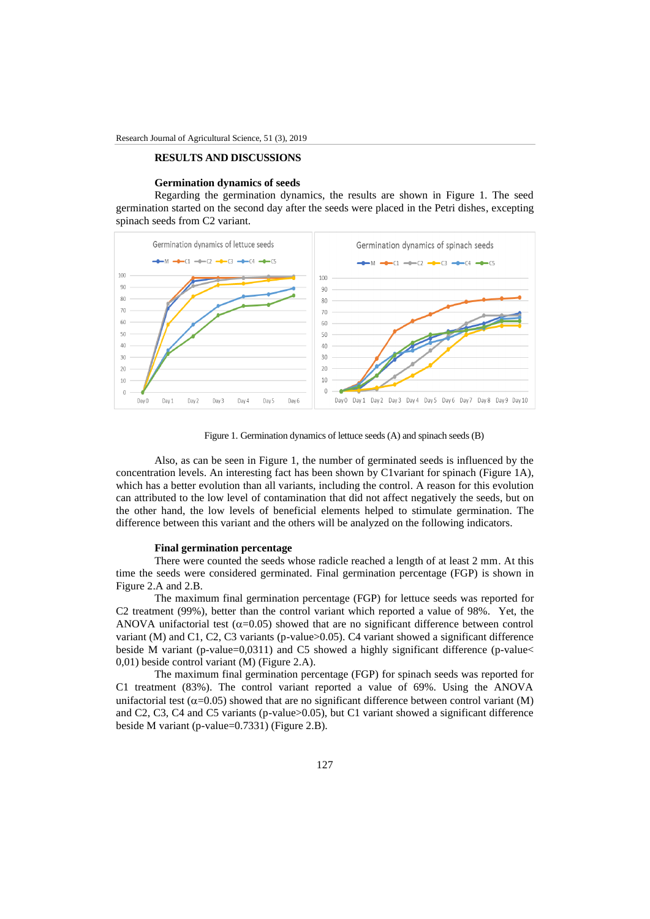## **RESULTS AND DISCUSSIONS**

### **Germination dynamics of seeds**

Regarding the germination dynamics, the results are shown in Figure 1. The seed germination started on the second day after the seeds were placed in the Petri dishes, excepting spinach seeds from C2 variant.



Figure 1. Germination dynamics of lettuce seeds (A) and spinach seeds (B)

Also, as can be seen in Figure 1, the number of germinated seeds is influenced by the concentration levels. An interesting fact has been shown by C1variant for spinach (Figure 1A), which has a better evolution than all variants, including the control. A reason for this evolution can attributed to the low level of contamination that did not affect negatively the seeds, but on the other hand, the low levels of beneficial elements helped to stimulate germination. The difference between this variant and the others will be analyzed on the following indicators.

## **Final germination percentage**

There were counted the seeds whose radicle reached a length of at least 2 mm. At this time the seeds were considered germinated. Final germination percentage (FGP) is shown in Figure 2.A and 2.B.

The maximum final germination percentage (FGP) for lettuce seeds was reported for C2 treatment (99%), better than the control variant which reported a value of 98%. Yet, the ANOVA unifactorial test  $(\alpha=0.05)$  showed that are no significant difference between control variant (M) and C1, C2, C3 variants (p-value>0.05). C4 variant showed a significant difference beside M variant (p-value=0,0311) and C5 showed a highly significant difference (p-value< 0,01) beside control variant (M) (Figure 2.A).

The maximum final germination percentage (FGP) for spinach seeds was reported for C1 treatment (83%). The control variant reported a value of 69%. Using the ANOVA unifactorial test ( $\alpha$ =0.05) showed that are no significant difference between control variant (M) and C2, C3, C4 and C5 variants (p-value>0.05), but C1 variant showed a significant difference beside M variant (p-value=0.7331) (Figure 2.B).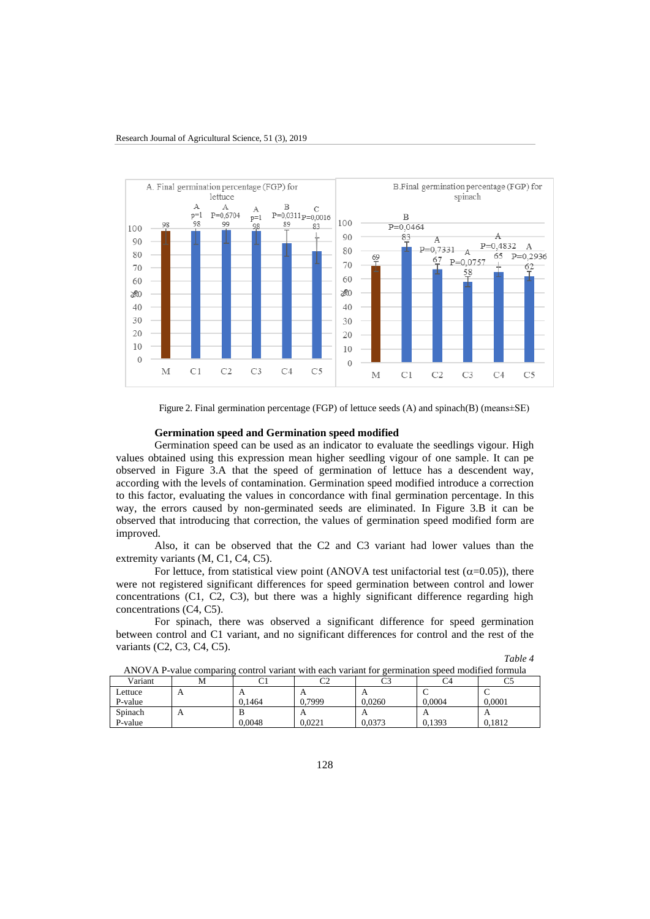

Figure 2. Final germination percentage (FGP) of lettuce seeds (A) and spinach(B) (means±SE)

## **Germination speed and Germination speed modified**

Germination speed can be used as an indicator to evaluate the seedlings vigour. High values obtained using this expression mean higher seedling vigour of one sample. It can pe observed in Figure 3.A that the speed of germination of lettuce has a descendent way, according with the levels of contamination. Germination speed modified introduce a correction to this factor, evaluating the values in concordance with final germination percentage. In this way, the errors caused by non-germinated seeds are eliminated. In Figure 3.B it can be observed that introducing that correction, the values of germination speed modified form are improved.

Also, it can be observed that the C2 and C3 variant had lower values than the extremity variants (M, C1, C4, C5).

For lettuce, from statistical view point (ANOVA test unifactorial test  $(\alpha=0.05)$ ), there were not registered significant differences for speed germination between control and lower concentrations (C1, C2, C3), but there was a highly significant difference regarding high concentrations (C4, C5).

For spinach, there was observed a significant difference for speed germination between control and C1 variant, and no significant differences for control and the rest of the variants (C2, C3, C4, C5).

*Table 4*

| Variant | М |        | $\cap$     | o٦<br>ັ |        |          |
|---------|---|--------|------------|---------|--------|----------|
| Lettuce | Δ |        | $\Gamma$   |         |        |          |
| P-value |   | 0.1464 | 0.7999     | 0.0260  | 0.0004 | 0.0001   |
| Spinach | A |        | $\sqrt{ }$ |         |        | $\Gamma$ |
| P-value |   | 0.0048 | 0.0221     | 0.0373  | 0.1393 | 0.1812   |

| ANOVA P-value comparing control variant with each variant for germination speed modified formula |  |
|--------------------------------------------------------------------------------------------------|--|
|                                                                                                  |  |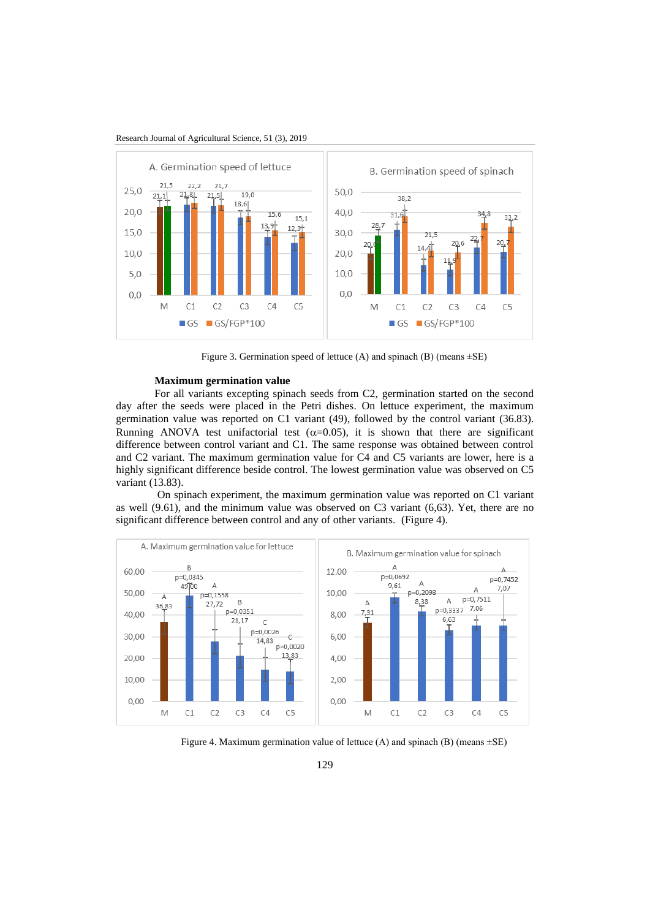



Figure 3. Germination speed of lettuce (A) and spinach (B) (means  $\pm$ SE)

# **Maximum germination value**

For all variants excepting spinach seeds from C2, germination started on the second day after the seeds were placed in the Petri dishes. On lettuce experiment, the maximum germination value was reported on C1 variant (49), followed by the control variant (36.83). Running ANOVA test unifactorial test  $(\alpha=0.05)$ , it is shown that there are significant difference between control variant and C1. The same response was obtained between control and C2 variant. The maximum germination value for C4 and C5 variants are lower, here is a highly significant difference beside control. The lowest germination value was observed on C5 variant (13.83).

On spinach experiment, the maximum germination value was reported on C1 variant as well (9.61), and the minimum value was observed on C3 variant (6,63). Yet, there are no significant difference between control and any of other variants. (Figure 4).



Figure 4. Maximum germination value of lettuce (A) and spinach (B) (means  $\pm$ SE)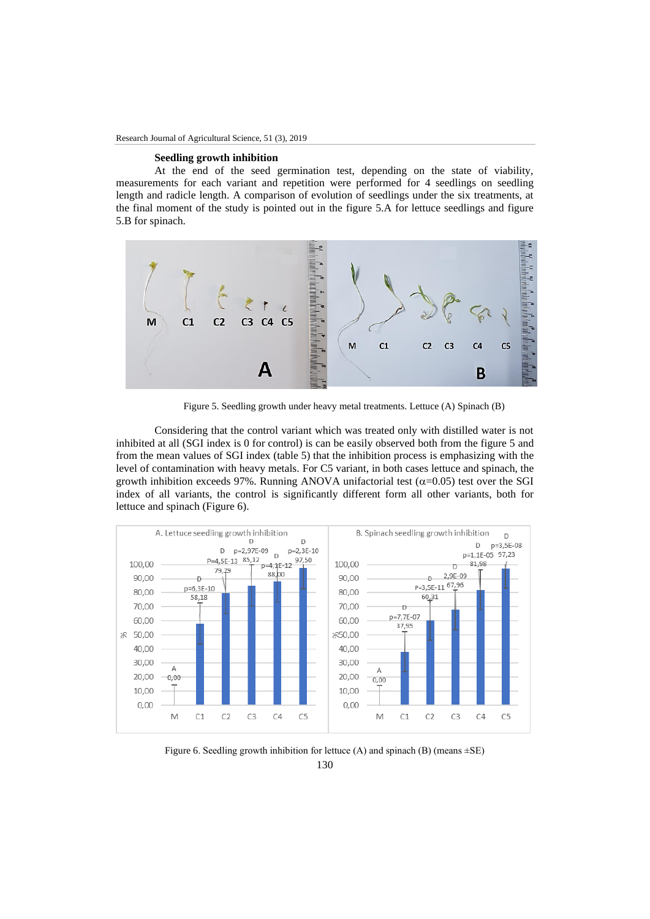# **Seedling growth inhibition**

At the end of the seed germination test, depending on the state of viability, measurements for each variant and repetition were performed for 4 seedlings on seedling length and radicle length. A comparison of evolution of seedlings under the six treatments, at the final moment of the study is pointed out in the figure 5.A for lettuce seedlings and figure 5.B for spinach.



Figure 5. Seedling growth under heavy metal treatments. Lettuce (A) Spinach (B)

Considering that the control variant which was treated only with distilled water is not inhibited at all (SGI index is 0 for control) is can be easily observed both from the figure 5 and from the mean values of SGI index (table 5) that the inhibition process is emphasizing with the level of contamination with heavy metals. For C5 variant, in both cases lettuce and spinach, the growth inhibition exceeds 97%. Running ANOVA unifactorial test ( $\alpha$ =0.05) test over the SGI index of all variants, the control is significantly different form all other variants, both for lettuce and spinach (Figure 6).



130 Figure 6. Seedling growth inhibition for lettuce (A) and spinach (B) (means  $\pm$ SE)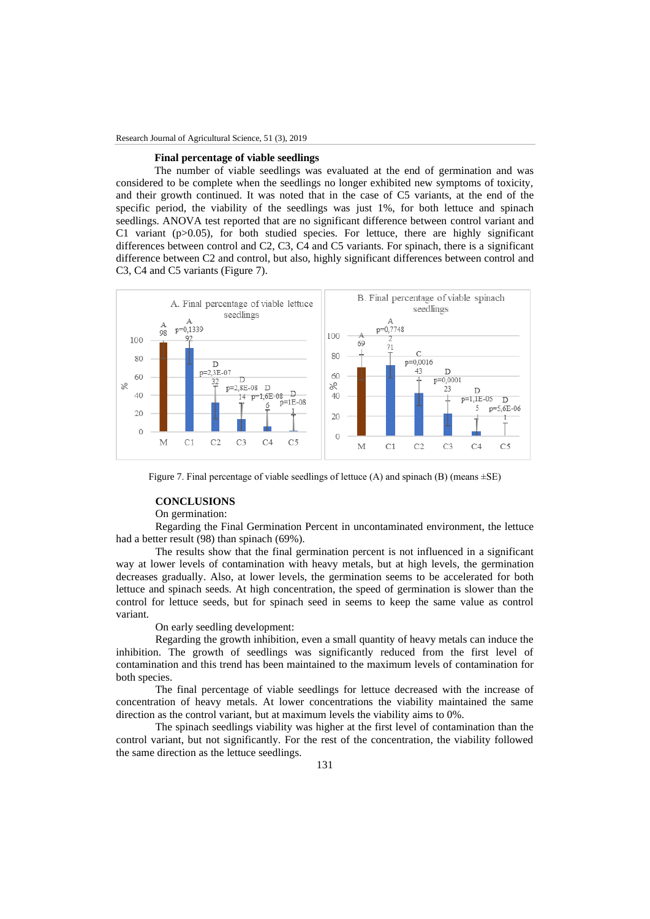## **Final percentage of viable seedlings**

The number of viable seedlings was evaluated at the end of germination and was considered to be complete when the seedlings no longer exhibited new symptoms of toxicity, and their growth continued. It was noted that in the case of C5 variants, at the end of the specific period, the viability of the seedlings was just 1%, for both lettuce and spinach seedlings. ANOVA test reported that are no significant difference between control variant and C1 variant ( $p>0.05$ ), for both studied species. For lettuce, there are highly significant differences between control and C2, C3, C4 and C5 variants. For spinach, there is a significant difference between C2 and control, but also, highly significant differences between control and C3, C4 and C5 variants (Figure 7).



Figure 7. Final percentage of viable seedlings of lettuce  $(A)$  and spinach  $(B)$  (means  $\pm SE$ )

## **CONCLUSIONS**

### On germination:

Regarding the Final Germination Percent in uncontaminated environment, the lettuce had a better result (98) than spinach (69%).

The results show that the final germination percent is not influenced in a significant way at lower levels of contamination with heavy metals, but at high levels, the germination decreases gradually. Also, at lower levels, the germination seems to be accelerated for both lettuce and spinach seeds. At high concentration, the speed of germination is slower than the control for lettuce seeds, but for spinach seed in seems to keep the same value as control variant.

On early seedling development:

Regarding the growth inhibition, even a small quantity of heavy metals can induce the inhibition. The growth of seedlings was significantly reduced from the first level of contamination and this trend has been maintained to the maximum levels of contamination for both species.

The final percentage of viable seedlings for lettuce decreased with the increase of concentration of heavy metals. At lower concentrations the viability maintained the same direction as the control variant, but at maximum levels the viability aims to 0%.

The spinach seedlings viability was higher at the first level of contamination than the control variant, but not significantly. For the rest of the concentration, the viability followed the same direction as the lettuce seedlings.